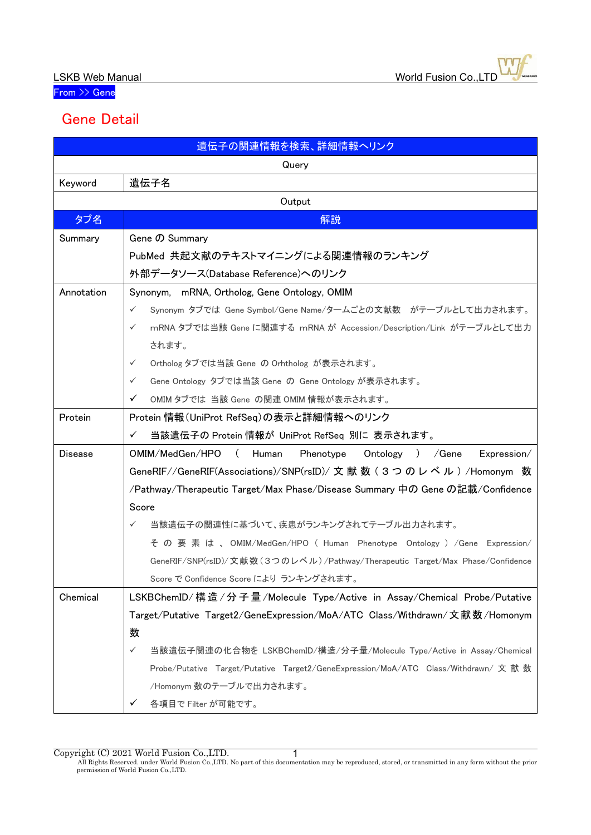From >> Gene

## Gene Detail

| 遺伝子の関連情報を検索、詳細情報へリンク |                                                                                         |  |
|----------------------|-----------------------------------------------------------------------------------------|--|
| Query                |                                                                                         |  |
| Keyword              | 遺伝子名                                                                                    |  |
| Output               |                                                                                         |  |
| タブ名                  | 解説                                                                                      |  |
| Summary              | Gene の Summary                                                                          |  |
|                      | PubMed 共起文献のテキストマイニングによる関連情報のランキング                                                      |  |
|                      | 外部データソース(Database Reference)へのリンク                                                       |  |
| Annotation           | Synonym, mRNA, Ortholog, Gene Ontology, OMIM                                            |  |
|                      | Synonym タブでは Gene Symbol/Gene Name/タームごとの文献数 がテーブルとして出力されます。<br>$\checkmark$            |  |
|                      | mRNA タブでは当該 Gene に関連する mRNA が Accession/Description/Link がテーブルとして出力<br>$\checkmark$     |  |
|                      | されます。                                                                                   |  |
|                      | Ortholog タブでは当該 Gene の Orhtholog が表示されます。<br>$\checkmark$                               |  |
|                      | Gene Ontology タブでは当該 Gene の Gene Ontology が表示されます。<br>$\checkmark$                      |  |
|                      | ✓<br>OMIM タブでは 当該 Gene の関連 OMIM 情報が表示されます。                                              |  |
| Protein              | Protein 情報(UniProt RefSeq)の表示と詳細情報へのリンク                                                 |  |
|                      | 当該遺伝子の Protein 情報が UniProt RefSeq 別に 表示されます。<br>✓                                       |  |
| <b>Disease</b>       | OMIM/MedGen/HPO<br>Human<br>Phenotype<br>Ontology ) / Gene<br>$\sqrt{2}$<br>Expression/ |  |
|                      | GeneRIF//GeneRIF(Associations)/SNP(rsID)/ 文 献 数 ( 3 つ の レ ベ ル ) /Homonym 数              |  |
|                      | /Pathway/Therapeutic Target/Max Phase/Disease Summary 中の Gene の記載/Confidence            |  |
|                      | Score                                                                                   |  |
|                      | 当該遺伝子の関連性に基づいて、疾患がランキングされてテーブル出力されます。<br>$\checkmark$                                   |  |
|                      | その要素は、OMIM/MedGen/HPO ( Human Phenotype Ontology ) /Gene Expression/                    |  |
|                      | GeneRIF/SNP(rsID)/文献数(3つのレベル)/Pathway/Therapeutic Target/Max Phase/Confidence           |  |
|                      | Score で Confidence Score により ランキングされます。                                                 |  |
| Chemical             | LSKBChemID/ 構造 / 分子量 / Molecule Type/Active in Assay/Chemical Probe/Putative            |  |
|                      | Target/Putative Target2/GeneExpression/MoA/ATC Class/Withdrawn/文献数/Homonym              |  |
|                      | 数                                                                                       |  |
|                      | $\checkmark$<br>当該遺伝子関連の化合物を LSKBChemID/構造/分子量/Molecule Type/Active in Assay/Chemical   |  |
|                      | Probe/Putative Target/Putative Target2/GeneExpression/MoA/ATC Class/Withdrawn/文献数       |  |
|                      | /Homonym 数のテーブルで出力されます。                                                                 |  |
|                      | 各項目で Filter が可能です。<br>✓                                                                 |  |

Copyright (C) 2021 World Fusion Co.,LTD.

All Rights Reserved. under World Fusion Co.,LTD. No part of this documentation may be reproduced, stored, or transmitted in any form without the prior permission of World Fusion Co.,LTD. 1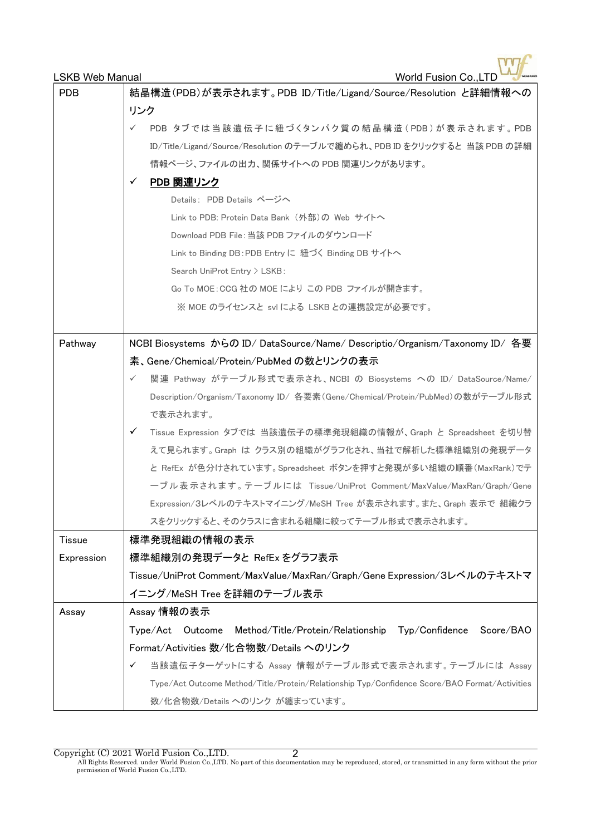| <b>LSKB Web Manual</b> | <b>World Fusion Co., LTD</b>                                                                  |
|------------------------|-----------------------------------------------------------------------------------------------|
| <b>PDB</b>             | 結晶構造(PDB)が表示されます。PDB ID/Title/Ligand/Source/Resolution と詳細情報への                                |
|                        | リンク                                                                                           |
|                        | PDB タブでは当該遺伝子に紐づくタンパク質の結晶構造(PDB)が表示されます。PDB<br>✓                                              |
|                        | ID/Title/Ligand/Source/Resolution のテーブルで纏められ、PDB ID をクリックすると 当該 PDB の詳細                       |
|                        | 情報ページ、ファイルの出力、関係サイトへの PDB 関連リンクがあります。                                                         |
|                        | PDB 関連リンク<br>✓                                                                                |
|                        | Details: PDB Details ページへ                                                                     |
|                        | Link to PDB: Protein Data Bank (外部)の Web サイトへ                                                 |
|                        | Download PDB File: 当該 PDB ファイルのダウンロード                                                         |
|                        | Link to Binding DB : PDB Entry に 紐づく Binding DB サイトへ                                          |
|                        | Search UniProt Entry > LSKB:                                                                  |
|                        | Go To MOE:CCG 社の MOE により この PDB ファイルが開きます。                                                    |
|                        | ※ MOE のライセンスと svl による LSKB との連携設定が必要です。                                                       |
| Pathway                | NCBI Biosystems からの ID/ DataSource/Name/ Descriptio/Organism/Taxonomy ID/ 各要                  |
|                        | 素、Gene/Chemical/Protein/PubMed の数とリンクの表示                                                      |
|                        | 関連 Pathway がテーブル形式で表示され、NCBI の Biosystems への ID/ DataSource/Name/<br>$\checkmark$             |
|                        | Description/Organism/Taxonomy ID/ 各要素(Gene/Chemical/Protein/PubMed)の数がテーブル形式                  |
|                        | で表示されます。                                                                                      |
|                        | Tissue Expression タブでは 当該遺伝子の標準発現組織の情報が、Graph と Spreadsheet を切り替<br>✓                         |
|                        | えて見られます。Graph は クラス別の組織がグラフ化され、当社で解析した標準組織別の発現データ                                             |
|                        | と RefEx が色分けされています。Spreadsheet ボタンを押すと発現が多い組織の順番(MaxRank)でテ                                   |
|                        | ーブル表示されます。テーブルには Tissue/UniProt Comment/MaxValue/MaxRan/Graph/Gene                            |
|                        | Expression/3レベルのテキストマイニング/MeSH Tree が表示されます。また、Graph 表示で 組織クラ                                 |
|                        | スをクリックすると、そのクラスに含まれる組織に絞ってテーブル形式で表示されます。                                                      |
| <b>Tissue</b>          | 標準発現組織の情報の表示                                                                                  |
| Expression             | 標準組織別の発現データと RefEx をグラフ表示                                                                     |
|                        | Tissue/UniProt Comment/MaxValue/MaxRan/Graph/Gene Expression/3レベルのテキストマ                       |
|                        | イニング/MeSH Tree を詳細のテーブル表示                                                                     |
| Assay                  | Assay 情報の表示                                                                                   |
|                        | Typ/Confidence<br>Score/BAO<br>Type/Act<br>Outcome Method/Title/Protein/Relationship          |
|                        | Format/Activities 数/化合物数/Details へのリンク                                                        |
|                        | 当該遺伝子ターゲットにする Assay 情報がテーブル形式で表示されます。テーブルには Assay<br>✓                                        |
|                        | Type/Act Outcome Method/Title/Protein/Relationship Typ/Confidence Score/BAO Format/Activities |
|                        | 数/化合物数/Details へのリンク が纏まっています。                                                                |

Copyright (C) 2021 World Fusion Co., LTD.<br>All Rights Reserved. under World Fusion Co., LTD. No part of this documentation may be reproduced, stored, or transmitted in any form without the prior<br>permission of World Fusion C 2